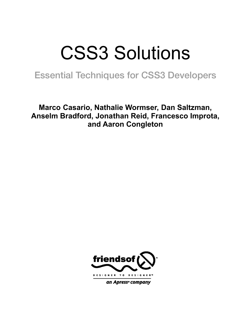# CSS3 Solutions

### Essential Techniques for CSS3 Developers

**Marco Casario, Nathalie Wormser, Dan Saltzman, Anselm Bradford, Jonathan Reid, Francesco Improta, and Aaron Congleton**



an Apress<sup>®</sup> company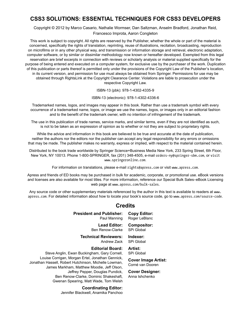#### **CSS3 Solutions: Essential Techniques for CSS3 Developers**

Copyright © 2012 by Marco Casario, Nathalie Wormser, Dan Saltzman, Anselm Bradford, Jonathan Reid, Francesco Improta, Aaron Congleton

This work is subject to copyright. All rights are reserved by the Publisher, whether the whole or part of the material is concerned, specifically the rights of translation, reprinting, reuse of illustrations, recitation, broadcasting, reproduction on microfilms or in any other physical way, and transmission or information storage and retrieval, electronic adaptation, computer software, or by similar or dissimilar methodology now known or hereafter developed. Exempted from this legal reservation are brief excerpts in connection with reviews or scholarly analysis or material supplied specifically for the purpose of being entered and executed on a computer system, for exclusive use by the purchaser of the work. Duplication of this publication or parts thereof is permitted only under the provisions of the Copyright Law of the Publisher's location, in its current version, and permission for use must always be obtained from Springer. Permissions for use may be obtained through RightsLink at the Copyright Clearance Center. Violations are liable to prosecution under the respective Copyright Law.

ISBN-13 (pbk): 978-1-4302-4335-9

ISBN-13 (electronic): 978-1-4302-4336-6

Trademarked names, logos, and images may appear in this book. Rather than use a trademark symbol with every occurrence of a trademarked name, logos, or image we use the names, logos, or images only in an editorial fashion and to the benefit of the trademark owner, with no intention of infringement of the trademark.

The use in this publication of trade names, service marks, and similar terms, even if they are not identified as such, is not to be taken as an expression of opinion as to whether or not they are subject to proprietary rights.

While the advice and information in this book are believed to be true and accurate at the date of publication, neither the authors nor the editors nor the publisher can accept any legal responsibility for any errors or omissions that may be made. The publisher makes no warranty, express or implied, with respect to the material contained herein.

Distributed to the book trade worldwide by Springer Science+Business Media New York, 233 Spring Street, 6th Floor, New York, NY 10013. Phone 1-800-SPRINGER, fax (201) 348-4505, e-mail orders-ny@springer-sbm.com, or visit www.springeronline.com.

For information on translations, please e-mail rights@apress.com or visit www.apress.com.

Apress and friends of ED books may be purchased in bulk for academic, corporate, or promotional use. eBook versions and licenses are also available for most titles. For more information, reference our Special Bulk Sales–eBook Licensing web page at www.apress.com/bulk-sales.

Any source code or other supplementary materials referenced by the author in this text is available to readers at www. apress.com. For detailed information about how to locate your book's source code, go to www.apress.com/source-code.

#### **Credits**

**President and Publisher:** Paul Manning **Copy Editor:** Roger LeBlanc

**Lead Editor: Compositor:**

Ben Renow-Clarke

Andrew Zack

**Technical Reviewers:** SPi Global **Indexer:**

> SPi Global **Artist:**

SPi Global

#### **Editorial Board:**

Steve Anglin, Ewan Buckingham, Gary Cornell, Louise Corrigan, Morgan Ertel, Jonathan Gennick, Jonathan Hassell, Robert Hutchinson, Michelle Lowman, James Markham, Matthew Moodie, Jeff Olson, Jeffrey Pepper, Douglas Pundick, Ben Renow-Clarke, Dominic Shakeshaft, Gwenan Spearing, Matt Wade, Tom Welsh

**Cover Image Artist:** Corné van Dooren

**Cover Designer:**

Anna Ishchenko

**Coordinating Editor:**

Jennifer Blackwell, Anamika Panchoo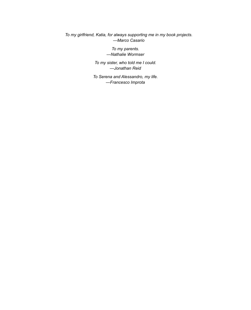*To my girlfriend, Katia, for always supporting me in my book projects. —Marco Casario*

> *To my parents. —Nathalie Wormser*

*To my sister, who told me I could. —Jonathan Reid*

*To Serena and Alessandro, my life. —Francesco Improta*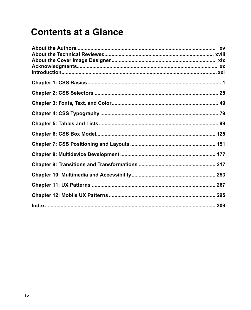### **Contents at a Glance**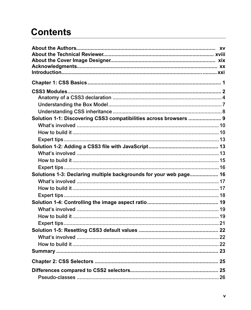# **Contents**

| Solution 1-1: Discovering CSS3 compatibilities across browsers  9  |  |
|--------------------------------------------------------------------|--|
|                                                                    |  |
|                                                                    |  |
|                                                                    |  |
|                                                                    |  |
|                                                                    |  |
|                                                                    |  |
|                                                                    |  |
| Solutions 1-3: Declaring multiple backgrounds for your web page 16 |  |
|                                                                    |  |
|                                                                    |  |
|                                                                    |  |
|                                                                    |  |
|                                                                    |  |
|                                                                    |  |
|                                                                    |  |
|                                                                    |  |
|                                                                    |  |
|                                                                    |  |
|                                                                    |  |
|                                                                    |  |
|                                                                    |  |
|                                                                    |  |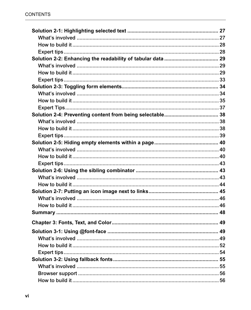| What's involved …………………………………………………………………………………………40 |  |
|------------------------------------------------------|--|
|                                                      |  |
|                                                      |  |
|                                                      |  |
|                                                      |  |
|                                                      |  |
|                                                      |  |
|                                                      |  |
|                                                      |  |
|                                                      |  |
|                                                      |  |
|                                                      |  |
|                                                      |  |
|                                                      |  |
|                                                      |  |
|                                                      |  |
|                                                      |  |
|                                                      |  |
|                                                      |  |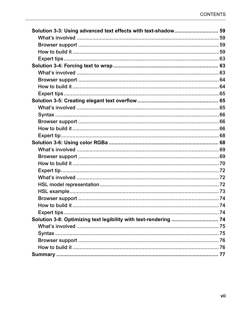| Solution 3-3: Using advanced text effects with text-shadow 59 |  |
|---------------------------------------------------------------|--|
|                                                               |  |
|                                                               |  |
|                                                               |  |
|                                                               |  |
|                                                               |  |
|                                                               |  |
|                                                               |  |
|                                                               |  |
|                                                               |  |
|                                                               |  |
|                                                               |  |
|                                                               |  |
|                                                               |  |
|                                                               |  |
|                                                               |  |
|                                                               |  |
|                                                               |  |
|                                                               |  |
|                                                               |  |
|                                                               |  |
|                                                               |  |
|                                                               |  |
|                                                               |  |
|                                                               |  |
|                                                               |  |
|                                                               |  |
|                                                               |  |
|                                                               |  |
|                                                               |  |
|                                                               |  |
|                                                               |  |
|                                                               |  |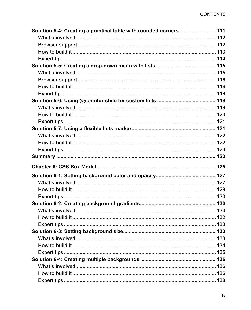| Solution 5-4: Creating a practical table with rounded corners  111 |  |
|--------------------------------------------------------------------|--|
|                                                                    |  |
|                                                                    |  |
|                                                                    |  |
|                                                                    |  |
|                                                                    |  |
|                                                                    |  |
|                                                                    |  |
|                                                                    |  |
|                                                                    |  |
|                                                                    |  |
|                                                                    |  |
|                                                                    |  |
|                                                                    |  |
|                                                                    |  |
|                                                                    |  |
|                                                                    |  |
|                                                                    |  |
|                                                                    |  |
|                                                                    |  |
|                                                                    |  |
|                                                                    |  |
|                                                                    |  |
|                                                                    |  |
|                                                                    |  |
|                                                                    |  |
|                                                                    |  |
|                                                                    |  |
|                                                                    |  |
|                                                                    |  |
|                                                                    |  |
|                                                                    |  |
|                                                                    |  |
|                                                                    |  |
|                                                                    |  |
|                                                                    |  |
|                                                                    |  |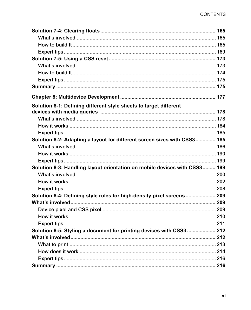| Solution 8-1: Defining different style sheets to target different         |  |
|---------------------------------------------------------------------------|--|
|                                                                           |  |
|                                                                           |  |
|                                                                           |  |
|                                                                           |  |
| Solution 8-2: Adapting a layout for different screen sizes with CSS3 185  |  |
|                                                                           |  |
|                                                                           |  |
|                                                                           |  |
| Solution 8-3: Handling layout orientation on mobile devices with CSS3 199 |  |
|                                                                           |  |
|                                                                           |  |
|                                                                           |  |
| Solution 8-4: Defining style rules for high-density pixel screens 209     |  |
|                                                                           |  |
|                                                                           |  |
|                                                                           |  |
|                                                                           |  |
| Solution 8-5: Styling a document for printing devices with CSS3 212       |  |
|                                                                           |  |
|                                                                           |  |
|                                                                           |  |
|                                                                           |  |
|                                                                           |  |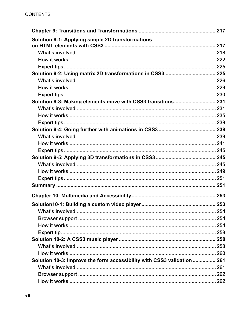| Solution 9-1: Applying simple 2D transformations                        |  |
|-------------------------------------------------------------------------|--|
|                                                                         |  |
|                                                                         |  |
|                                                                         |  |
|                                                                         |  |
|                                                                         |  |
|                                                                         |  |
|                                                                         |  |
|                                                                         |  |
| Solution 9-3: Making elements move with CSS3 transitions 231            |  |
|                                                                         |  |
|                                                                         |  |
|                                                                         |  |
|                                                                         |  |
|                                                                         |  |
|                                                                         |  |
|                                                                         |  |
|                                                                         |  |
|                                                                         |  |
|                                                                         |  |
|                                                                         |  |
|                                                                         |  |
|                                                                         |  |
|                                                                         |  |
|                                                                         |  |
|                                                                         |  |
|                                                                         |  |
|                                                                         |  |
|                                                                         |  |
|                                                                         |  |
|                                                                         |  |
| Solution 10-3: Improve the form accessibility with CSS3 validation  261 |  |
|                                                                         |  |
|                                                                         |  |
|                                                                         |  |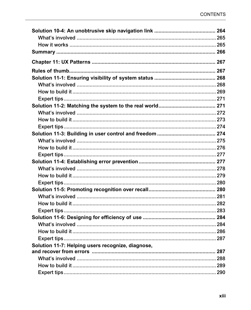| Solution 11-7: Helping users recognize, diagnose, |  |
|---------------------------------------------------|--|
|                                                   |  |
|                                                   |  |
|                                                   |  |
|                                                   |  |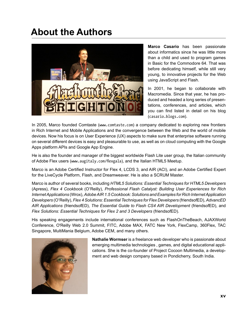### **About the Authors**



**Marco Casario** has been passionate about informatics since he was little more than a child and used to program games in Basic for the Commodore 64. That was before dedicating himself, while still very young, to innovative projects for the Web using JavaScript and Flash.

In 2001, he began to collaborate with Macromedia. Since that year, he has produced and headed a long series of presentations, conferences, and articles, which you can find listed in detail on his blog (casario.blogs.com).

In 2005, Marco founded Comtaste (www.comtaste.com) a company dedicated to exploring new frontiers in Rich Internet and Mobile Applications and the convergence between the Web and the world of mobile devices. Now his focus is on User Experience (UX) aspects to make sure that enterprise software running on several different devices is easy and pleasurable to use, as well as on cloud computing with the Google Apps platform APIs and Google App Engine.

He is also the founder and manager of the biggest worldwide Flash Lite user group, the Italian community of Adobe Flex users (www.augitaly.com/flexgala), and the Italian HTML5 Meetup.

Marco is an Adobe Certified Instructor for Flex 4, LCDS 3, and AIR (ACI), and an Adobe Certified Expert for the LiveCycle Platform, Flash, and Dreamweaver. He is also a SCRUM Master.

Marco is author of several books, including *HTML5 Solutions: Essential Techniques for HTML5 Developers* (Apress), *Flex 4 Cookbook* (O'Reilly), *Professional Flash Catalyst: Building User Experiences for Rich Internet Applications* (Wrox), *Adobe AIR 1.5 Cookbook: Solutions and Examples for Rich Internet Application Developers* (O'Reilly), *Flex 4 Solutions: Essential Techniques for Flex Developers* (friendsofED), *AdvancED AIR Applications* (friendsofED), *The Essential Guide to Flash CS4 AIR Development* (friendsofED), and *Flex Solutions: Essential Techniques for Flex 2 and 3 Developers* (friendsofED).

His speaking engagements include international conferences such as FlashOnTheBeach, AJAXWorld Conference, O'Reilly Web 2.0 Summit, FITC, Adobe MAX, FATC New York, FlexCamp, 360Flex, TAC Singapore, MultiMania Belgium, Adobe CEM, and many others.



**Nathalie Wormser** is a freelance web developer who is passionate about emerging multimedia technologies , games, and digital educational applications. She is the co-founder of Project Cocoon Multimedia, a development and web design company based in Pondicherry, South India.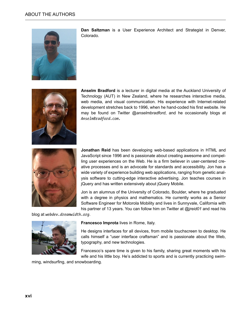

**Dan Saltzman** is a User Experience Architect and Strategist in Denver, Colorado.



**Anselm Bradford** is a lecturer in digital media at the Auckland University of Technology (AUT) in New Zealand, where he researches interactive media, web media, and visual communication. His experience with Internet-related development stretches back to 1996, when he hand-coded his first website. He may be found on Twitter *@anselmbradford*, and he occasionally blogs at *AnselmBradford.com.*



**Jonathan Reid** has been developing web-based applications in HTML and JavaScript since 1996 and is passionate about creating awesome and compelling user experiences on the Web. He is a firm believer in user-centered creative processes and is an advocate for standards and accessibility. Jon has a wide variety of experience building web applications, ranging from genetic analysis software to cutting-edge interactive advertising. Jon teaches courses in jQuery and has written extensively about jQuery Mobile.

Jon is an alumnus of the University of Colorado, Boulder, where he graduated with a degree in physics and mathematics. He currently works as a Senior Software Engineer for Motorola Mobility and lives in Sunnyvale, California with his partner of 13 years. You can follow him on Twitter at *@jreid01* and read his

blog at *webdev.dreamwidth.org*.



#### **Francesco Improta** lives in Rome, Italy.

He designs interfaces for all devices, from mobile touchscreen to desktop. He calls himself a "user interface craftsman" and is passionate about the Web, typography, and new technologies.

Francesco's spare time is given to his family, sharing great moments with his wife and his little boy. He's addicted to sports and is currently practicing swim-

ming, windsurfing, and snowboarding.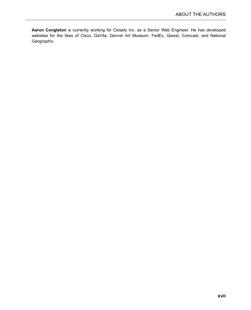**Aaron Congleton** is currently working for Closely Inc. as a Senior Web Engineer. He has developed websites for the likes of Cisco, DaVita, Denver Art Museum, FedEx, Qwest, Comcast, and National Geographic.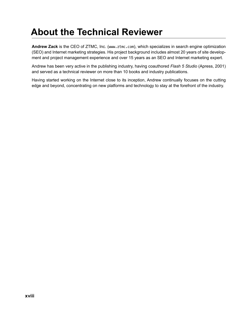# **About the Technical Reviewer**

**Andrew Zack** is the CEO of ZTMC, Inc. (www.ztmc.com), which specializes in search engine optimization (SEO) and Internet marketing strategies. His project background includes almost 20 years of site development and project management experience and over 15 years as an SEO and Internet marketing expert.

Andrew has been very active in the publishing industry, having coauthored *Flash 5 Studio* (Apress, 2001) and served as a technical reviewer on more than 10 books and industry publications.

Having started working on the Internet close to its inception, Andrew continually focuses on the cutting edge and beyond, concentrating on new platforms and technology to stay at the forefront of the industry.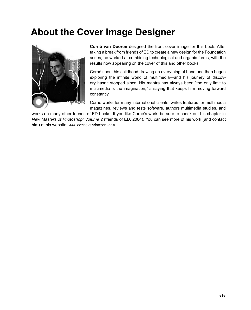# **About the Cover Image Designer**



**Corné van Dooren** designed the front cover image for this book. After taking a break from friends of ED to create a new design for the Foundation series, he worked at combining technological and organic forms, with the results now appearing on the cover of this and other books.

Corné spent his childhood drawing on everything at hand and then began exploring the infinite world of multimedia—and his journey of discovery hasn't stopped since. His mantra has always been "the only limit to multimedia is the imagination," a saying that keeps him moving forward constantly.

Corné works for many international clients, writes features for multimedia magazines, reviews and tests software, authors multimedia studies, and

works on many other friends of ED books. If you like Corné's work, be sure to check out his chapter in *New Masters of Photoshop: Volume 2* (friends of ED, 2004). You can see more of his work (and contact him) at his website, www.cornevandooren.com.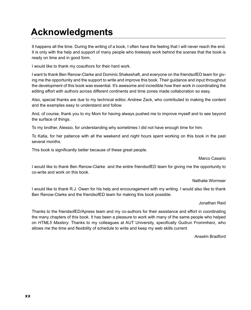# **Acknowledgments**

It happens all the time. During the writing of a book, I often have the feeling that I will never reach the end. It is only with the help and support of many people who tirelessly work behind the scenes that the book is ready on time and in good form.

I would like to thank my coauthors for their hard work.

I want to thank Ben Renow-Clarke and Dominic Shakeshaft, and everyone on the friendsofED team for giving me the opportunity and the support to write and improve this book. Their guidance and input throughout the development of this book was essential. It's awesome and incredible how their work in coordinating the editing effort with authors across different continents and time zones made collaboration so easy.

Also, special thanks are due to my technical editor, Andrew Zack, who contributed to making the content and the examples easy to understand and follow.

And, of course, thank you to my Mom for having always pushed me to improve myself and to see beyond the surface of things.

To my brother, Alessio, for understanding why sometimes I did not have enough time for him.

To Katia, for her patience with all the weekend and night hours spent working on this book in the past several months.

This book is significantly better because of these great people.

#### Marco Casario

I would like to thank Ben Renow-Clarke and the entire friendsofED team for giving me the opportunity to co-write and work on this book.

#### Nathalie Wormser

I would like to thank R.J. Owen for his help and encouragement with my writing. I would also like to thank Ben Renow-Clarke and the friendsofED team for making this book possible.

#### Jonathan Reid

Thanks to the friendsofED/Apress team and my co-authors for their assistance and effort in coordinating the many chapters of this book. It has been a pleasure to work with many of the same people who helped on *HTML5 Mastery*. Thanks to my colleagues at AUT University, specifically Gudrun Frommherz, who allows me the time and flexibility of schedule to write and keep my web skills current.

Anselm Bradford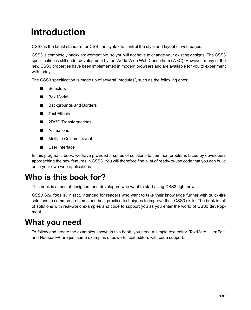# **Introduction**

CSS3 is the latest standard for CSS, the syntax to control the style and layout of web pages.

CSS3 is completely backward-compatible, so you will not have to change your existing designs. The CSS3 specification is still under development by the World Wide Web Consortium (W3C). However, many of the new CSS3 properties have been implemented in modern browsers and are available for you to experiment with today.

The CSS3 specification is made up of several "modules", such as the following ones:

- **Selectors**
- Box Model
- Backgrounds and Borders
- **Text Effects**
- 2D/3D Transformations
- Animations
- Multiple Column Layout
- User Interface

In this pragmatic book, we have provided a series of solutions to common problems faced by developers approaching the new features in CSS3. You will therefore find a lot of ready-to-use code that you can build on in your own web applications.

### **Who is this book for?**

This book is aimed at designers and developers who want to start using CSS3 right now.

*CSS3 Solutions* is, in fact, intended for readers who want to take their knowledge further with quick-fire solutions to common problems and best practice techniques to improve their CSS3 skills. The book is full of solutions with real-world examples and code to support you as you enter the world of CSS3 development.

### **What you need**

To follow and create the examples shown in this book, you need a simple text editor. TextMate, UltraEdit, and Notepad++ are just some examples of powerful text editors with code support.